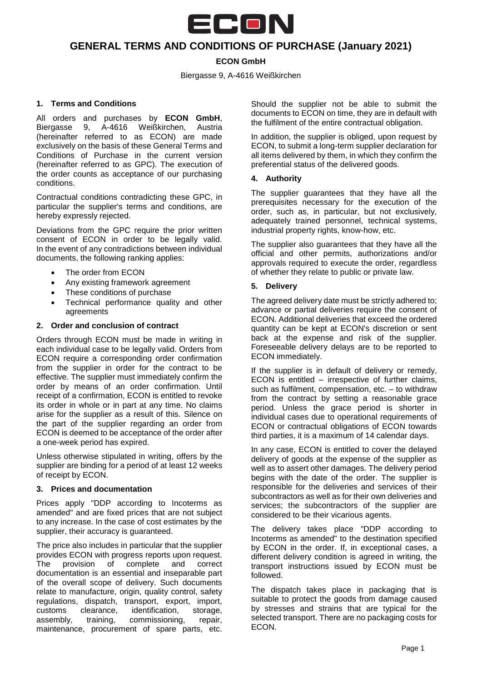

# **GENERAL TERMS AND CONDITIONS OF PURCHASE (January 2021)**

# **ECON GmbH**

Biergasse 9, A-4616 Weißkirchen

# **1. Terms and Conditions**

All orders and purchases by **ECON GmbH**, Biergasse 9, A-4616 Weißkirchen, Austria (hereinafter referred to as ECON) are made exclusively on the basis of these General Terms and Conditions of Purchase in the current version (hereinafter referred to as GPC). The execution of the order counts as acceptance of our purchasing conditions.

Contractual conditions contradicting these GPC, in particular the supplier's terms and conditions, are hereby expressly rejected.

Deviations from the GPC require the prior written consent of ECON in order to be legally valid. In the event of any contradictions between individual documents, the following ranking applies:

- The order from ECON
- Any existing framework agreement
- These conditions of purchase
- Technical performance quality and other agreements

## **2. Order and conclusion of contract**

Orders through ECON must be made in writing in each individual case to be legally valid. Orders from ECON require a corresponding order confirmation from the supplier in order for the contract to be effective. The supplier must immediately confirm the order by means of an order confirmation. Until receipt of a confirmation, ECON is entitled to revoke its order in whole or in part at any time. No claims arise for the supplier as a result of this. Silence on the part of the supplier regarding an order from ECON is deemed to be acceptance of the order after a one-week period has expired.

Unless otherwise stipulated in writing, offers by the supplier are binding for a period of at least 12 weeks of receipt by ECON.

## **3. Prices and documentation**

Prices apply "DDP according to Incoterms as amended" and are fixed prices that are not subject to any increase. In the case of cost estimates by the supplier, their accuracy is guaranteed.

The price also includes in particular that the supplier provides ECON with progress reports upon request. The provision of complete and correct documentation is an essential and inseparable part of the overall scope of delivery. Such documents relate to manufacture, origin, quality control, safety regulations, dispatch, transport, export, import, customs clearance, identification, storage, assembly, training, commissioning, repair, maintenance, procurement of spare parts, etc.

Should the supplier not be able to submit the documents to ECON on time, they are in default with the fulfilment of the entire contractual obligation.

In addition, the supplier is obliged, upon request by ECON, to submit a long-term supplier declaration for all items delivered by them, in which they confirm the preferential status of the delivered goods.

## **4. Authority**

The supplier guarantees that they have all the prerequisites necessary for the execution of the order, such as, in particular, but not exclusively, adequately trained personnel, technical systems, industrial property rights, know-how, etc.

The supplier also guarantees that they have all the official and other permits, authorizations and/or approvals required to execute the order, regardless of whether they relate to public or private law.

## **5. Delivery**

The agreed delivery date must be strictly adhered to; advance or partial deliveries require the consent of ECON. Additional deliveries that exceed the ordered quantity can be kept at ECON's discretion or sent back at the expense and risk of the supplier. Foreseeable delivery delays are to be reported to ECON immediately.

If the supplier is in default of delivery or remedy, ECON is entitled – irrespective of further claims, such as fulfilment, compensation, etc. – to withdraw from the contract by setting a reasonable grace period. Unless the grace period is shorter in individual cases due to operational requirements of ECON or contractual obligations of ECON towards third parties, it is a maximum of 14 calendar days.

In any case, ECON is entitled to cover the delayed delivery of goods at the expense of the supplier as well as to assert other damages. The delivery period begins with the date of the order. The supplier is responsible for the deliveries and services of their subcontractors as well as for their own deliveries and services; the subcontractors of the supplier are considered to be their vicarious agents.

The delivery takes place "DDP according to Incoterms as amended" to the destination specified by ECON in the order. If, in exceptional cases, a different delivery condition is agreed in writing, the transport instructions issued by ECON must be followed.

The dispatch takes place in packaging that is suitable to protect the goods from damage caused by stresses and strains that are typical for the selected transport. There are no packaging costs for ECON.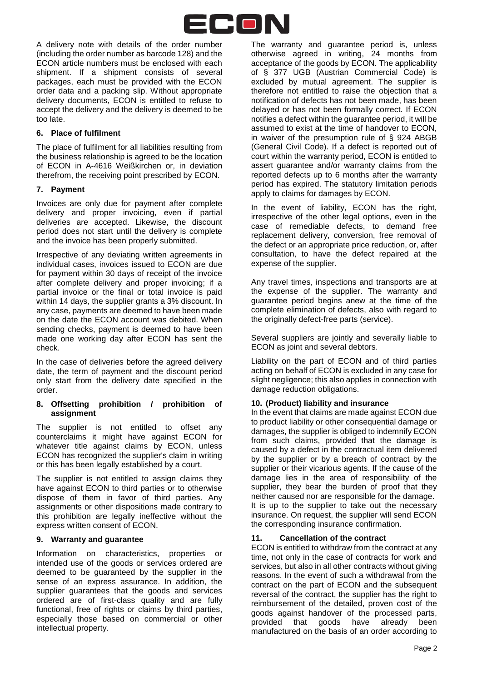

A delivery note with details of the order number (including the order number as barcode 128) and the ECON article numbers must be enclosed with each shipment. If a shipment consists of several packages, each must be provided with the ECON order data and a packing slip. Without appropriate delivery documents, ECON is entitled to refuse to accept the delivery and the delivery is deemed to be too late.

## **6. Place of fulfilment**

The place of fulfilment for all liabilities resulting from the business relationship is agreed to be the location of ECON in A-4616 Weißkirchen or, in deviation therefrom, the receiving point prescribed by ECON.

## **7. Payment**

Invoices are only due for payment after complete delivery and proper invoicing, even if partial deliveries are accepted. Likewise, the discount period does not start until the delivery is complete and the invoice has been properly submitted.

Irrespective of any deviating written agreements in individual cases, invoices issued to ECON are due for payment within 30 days of receipt of the invoice after complete delivery and proper invoicing; if a partial invoice or the final or total invoice is paid within 14 days, the supplier grants a 3% discount. In any case, payments are deemed to have been made on the date the ECON account was debited. When sending checks, payment is deemed to have been made one working day after ECON has sent the check.

In the case of deliveries before the agreed delivery date, the term of payment and the discount period only start from the delivery date specified in the order.

#### **8. Offsetting prohibition / prohibition of assignment**

The supplier is not entitled to offset any counterclaims it might have against ECON for whatever title against claims by ECON, unless ECON has recognized the supplier's claim in writing or this has been legally established by a court.

The supplier is not entitled to assign claims they have against ECON to third parties or to otherwise dispose of them in favor of third parties. Any assignments or other dispositions made contrary to this prohibition are legally ineffective without the express written consent of ECON.

## **9. Warranty and guarantee**

Information on characteristics, properties or intended use of the goods or services ordered are deemed to be guaranteed by the supplier in the sense of an express assurance. In addition, the supplier guarantees that the goods and services ordered are of first-class quality and are fully functional, free of rights or claims by third parties, especially those based on commercial or other intellectual property.

The warranty and guarantee period is, unless otherwise agreed in writing, 24 months from acceptance of the goods by ECON. The applicability of § 377 UGB (Austrian Commercial Code) is excluded by mutual agreement. The supplier is therefore not entitled to raise the objection that a notification of defects has not been made, has been delayed or has not been formally correct. If ECON notifies a defect within the guarantee period, it will be assumed to exist at the time of handover to ECON, in waiver of the presumption rule of § 924 ABGB (General Civil Code). If a defect is reported out of court within the warranty period, ECON is entitled to assert guarantee and/or warranty claims from the reported defects up to 6 months after the warranty period has expired. The statutory limitation periods apply to claims for damages by ECON.

In the event of liability, ECON has the right, irrespective of the other legal options, even in the case of remediable defects, to demand free replacement delivery, conversion, free removal of the defect or an appropriate price reduction, or, after consultation, to have the defect repaired at the expense of the supplier.

Any travel times, inspections and transports are at the expense of the supplier. The warranty and guarantee period begins anew at the time of the complete elimination of defects, also with regard to the originally defect-free parts (service).

Several suppliers are jointly and severally liable to ECON as joint and several debtors.

Liability on the part of ECON and of third parties acting on behalf of ECON is excluded in any case for slight negligence; this also applies in connection with damage reduction obligations.

## **10. (Product) liability and insurance**

In the event that claims are made against ECON due to product liability or other consequential damage or damages, the supplier is obliged to indemnify ECON from such claims, provided that the damage is caused by a defect in the contractual item delivered by the supplier or by a breach of contract by the supplier or their vicarious agents. If the cause of the damage lies in the area of responsibility of the supplier, they bear the burden of proof that they neither caused nor are responsible for the damage. It is up to the supplier to take out the necessary insurance. On request, the supplier will send ECON the corresponding insurance confirmation.

## **11. Cancellation of the contract**

ECON is entitled to withdraw from the contract at any time, not only in the case of contracts for work and services, but also in all other contracts without giving reasons. In the event of such a withdrawal from the contract on the part of ECON and the subsequent reversal of the contract, the supplier has the right to reimbursement of the detailed, proven cost of the goods against handover of the processed parts, provided that goods have already been manufactured on the basis of an order according to